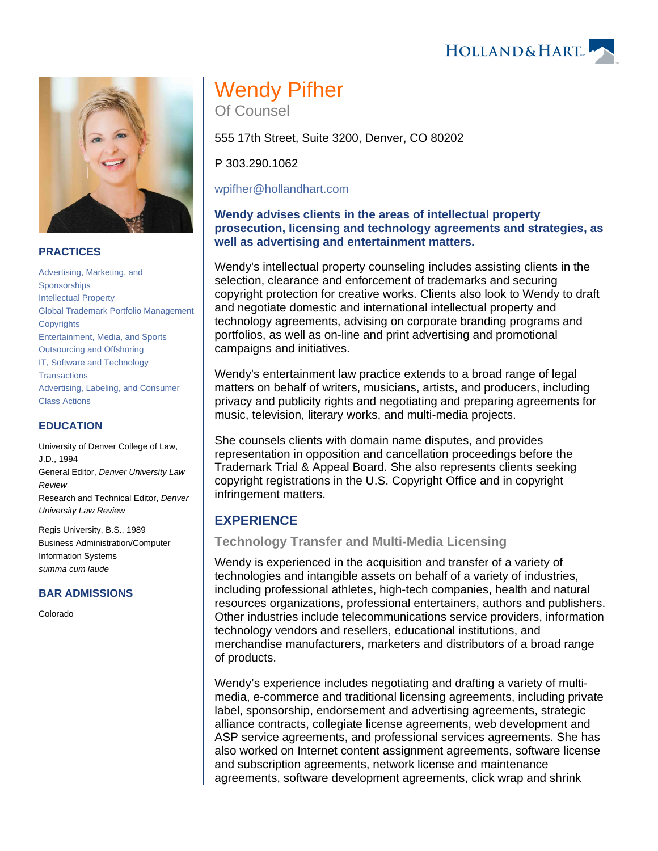Wendy Pifher Of Counsel

555 17th Street, Suite 3200, Denver, CO 80202

P 303.290.1062

[wpifher@hollandhart.com](mailto:wpifher@hollandhart.com)

### **Wendy advises clients in the areas of intellectual property prosecution, licensing and technology agreements and strategies, as well as advertising and entertainment matters.**

Wendy's intellectual property counseling includes assisting clients in the selection, clearance and enforcement of trademarks and securing copyright protection for creative works. Clients also look to Wendy to draft and negotiate domestic and international intellectual property and technology agreements, advising on corporate branding programs and portfolios, as well as on-line and print advertising and promotional campaigns and initiatives.

Wendy's entertainment law practice extends to a broad range of legal matters on behalf of writers, musicians, artists, and producers, including privacy and publicity rights and negotiating and preparing agreements for music, television, literary works, and multi-media projects.

She counsels clients with domain name disputes, and provides representation in opposition and cancellation proceedings before the Trademark Trial & Appeal Board. She also represents clients seeking copyright registrations in the U.S. Copyright Office and in copyright infringement matters.

# **EXPERIENCE**

## **Technology Transfer and Multi-Media Licensing**

Wendy is experienced in the acquisition and transfer of a variety of technologies and intangible assets on behalf of a variety of industries, including professional athletes, high-tech companies, health and natural resources organizations, professional entertainers, authors and publishers. Other industries include telecommunications service providers, information technology vendors and resellers, educational institutions, and merchandise manufacturers, marketers and distributors of a broad range of products.

Wendy's experience includes negotiating and drafting a variety of multimedia, e-commerce and traditional licensing agreements, including private label, sponsorship, endorsement and advertising agreements, strategic alliance contracts, collegiate license agreements, web development and ASP service agreements, and professional services agreements. She has also worked on Internet content assignment agreements, software license and subscription agreements, network license and maintenance agreements, software development agreements, click wrap and shrink

#### **PRACTICES**

[Advertising, Marketing, and](https://www.hollandhart.com/29193)  [Sponsorships](https://www.hollandhart.com/29193) [Intellectual Property](https://www.hollandhart.com/19664) [Global Trademark Portfolio Management](https://www.hollandhart.com/19760) **[Copyrights](https://www.hollandhart.com/19690)** [Entertainment, Media, and Sports](https://www.hollandhart.com/19758)  [Outsourcing and Offshoring](https://www.hollandhart.com/19703) [IT, Software and Technology](https://www.hollandhart.com/29195)  **[Transactions](https://www.hollandhart.com/29195)** [Advertising, Labeling, and Consumer](https://www.hollandhart.com/32279)  [Class Actions](https://www.hollandhart.com/32279)

#### **EDUCATION**

University of Denver College of Law, J.D., 1994 General Editor, Denver University Law Review Research and Technical Editor, Denver University Law Review

Regis University, B.S., 1989 Business Administration/Computer Information Systems summa cum laude

### **BAR ADMISSIONS**

Colorado



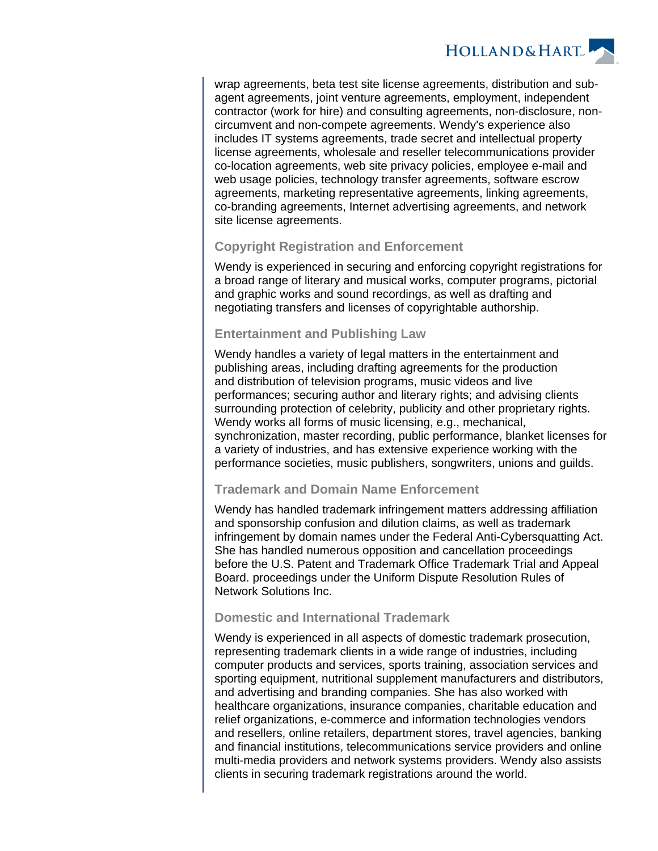

wrap agreements, beta test site license agreements, distribution and subagent agreements, joint venture agreements, employment, independent contractor (work for hire) and consulting agreements, non-disclosure, noncircumvent and non-compete agreements. Wendy's experience also includes IT systems agreements, trade secret and intellectual property license agreements, wholesale and reseller telecommunications provider co-location agreements, web site privacy policies, employee e-mail and web usage policies, technology transfer agreements, software escrow agreements, marketing representative agreements, linking agreements, co-branding agreements, Internet advertising agreements, and network site license agreements.

### **Copyright Registration and Enforcement**

Wendy is experienced in securing and enforcing copyright registrations for a broad range of literary and musical works, computer programs, pictorial and graphic works and sound recordings, as well as drafting and negotiating transfers and licenses of copyrightable authorship.

### **Entertainment and Publishing Law**

Wendy handles a variety of legal matters in the entertainment and publishing areas, including drafting agreements for the production and distribution of television programs, music videos and live performances; securing author and literary rights; and advising clients surrounding protection of celebrity, publicity and other proprietary rights. Wendy works all forms of music licensing, e.g., mechanical, synchronization, master recording, public performance, blanket licenses for a variety of industries, and has extensive experience working with the performance societies, music publishers, songwriters, unions and guilds.

### **Trademark and Domain Name Enforcement**

Wendy has handled trademark infringement matters addressing affiliation and sponsorship confusion and dilution claims, as well as trademark infringement by domain names under the Federal Anti-Cybersquatting Act. She has handled numerous opposition and cancellation proceedings before the U.S. Patent and Trademark Office Trademark Trial and Appeal Board. proceedings under the Uniform Dispute Resolution Rules of Network Solutions Inc.

### **Domestic and International Trademark**

Wendy is experienced in all aspects of domestic trademark prosecution, representing trademark clients in a wide range of industries, including computer products and services, sports training, association services and sporting equipment, nutritional supplement manufacturers and distributors, and advertising and branding companies. She has also worked with healthcare organizations, insurance companies, charitable education and relief organizations, e-commerce and information technologies vendors and resellers, online retailers, department stores, travel agencies, banking and financial institutions, telecommunications service providers and online multi-media providers and network systems providers. Wendy also assists clients in securing trademark registrations around the world.